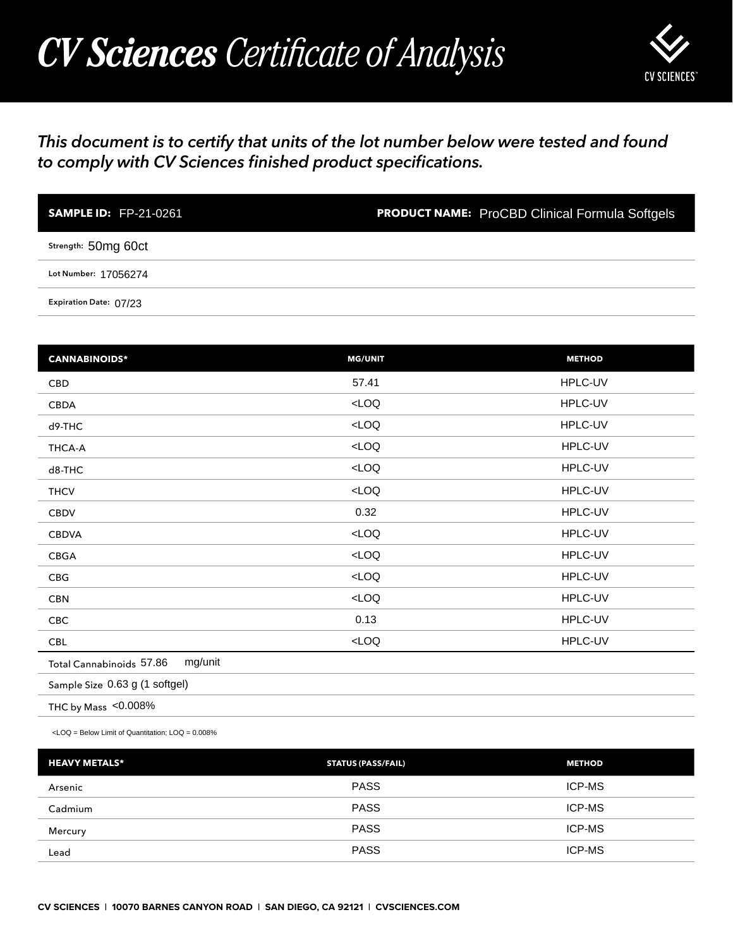## *CV Sciences Certificate of Analysis*



## *This document is to certify that units of the lot number below were tested and found to comply with CV Sciences finished product specifications.*

| <b>SAMPLE ID: FP-21-0261</b> | <b>PRODUCT NAME:</b> ProCBD Clinical Formula Softgels |
|------------------------------|-------------------------------------------------------|
| Strength: 50mg 60ct          |                                                       |
| Lot Number: 17056274         |                                                       |
| Expiration Date: 07/23       |                                                       |

| <b>SAMPLE ID: FP-21-0261</b>                                                                    | <b>PRODUCT NAME:</b> ProCBD Clinical Formula Softgels |               |
|-------------------------------------------------------------------------------------------------|-------------------------------------------------------|---------------|
| Strength: 50mg 60ct                                                                             |                                                       |               |
| Lot Number: 17056274                                                                            |                                                       |               |
| Expiration Date: 07/23                                                                          |                                                       |               |
|                                                                                                 |                                                       |               |
| <b>CANNABINOIDS*</b>                                                                            | <b>MG/UNIT</b>                                        | <b>METHOD</b> |
| CBD                                                                                             | 57.41                                                 | HPLC-UV       |
| CBDA                                                                                            | $<$ LOQ                                               | HPLC-UV       |
| d9-THC                                                                                          | LOO                                                   | HPLC-UV       |
| THCA-A                                                                                          | $<$ LOQ                                               | HPLC-UV       |
| d8-THC                                                                                          | $<$ LOQ                                               | HPLC-UV       |
| <b>THCV</b>                                                                                     | $<$ LOQ                                               | HPLC-UV       |
| <b>CBDV</b>                                                                                     | 0.32                                                  | HPLC-UV       |
| <b>CBDVA</b>                                                                                    | LOO                                                   | HPLC-UV       |
| CBGA                                                                                            | LOO                                                   | HPLC-UV       |
| CBG                                                                                             | $<$ LOQ                                               | HPLC-UV       |
| <b>CBN</b>                                                                                      | LOO                                                   | HPLC-UV       |
| CBC                                                                                             | 0.13                                                  | HPLC-UV       |
| <b>CBL</b>                                                                                      | $<$ LOQ                                               | HPLC-UV       |
| mg/unit<br>Total Cannabinoids 57.86                                                             |                                                       |               |
| Sample Size 0.63 g (1 softgel)                                                                  |                                                       |               |
| THC by Mass <0.008%                                                                             |                                                       |               |
| <loq =="" below="" limit="" loq="0.008%&lt;/td" of="" quantitation;=""><td></td><td></td></loq> |                                                       |               |
| <b>HEAVY METALS*</b>                                                                            | <b>STATUS (PASS/FAIL)</b>                             | <b>METHOD</b> |
| Arsenic                                                                                         | <b>PASS</b>                                           | ICP-MS        |
| Cadmium                                                                                         | <b>PASS</b>                                           | ICP-MS        |
| Mercury                                                                                         | <b>PASS</b>                                           | ICP-MS        |
| Lead                                                                                            | <b>PASS</b>                                           | ICP-MS        |

| <b>HEAVY METALS*</b> | <b>STATUS (PASS/FAIL)</b> | <b>METHOD</b> |
|----------------------|---------------------------|---------------|
| Arsenic              | <b>PASS</b>               | ICP-MS        |
| Cadmium              | <b>PASS</b>               | ICP-MS        |
| Mercury              | <b>PASS</b>               | <b>ICP-MS</b> |
| Lead                 | <b>PASS</b>               | <b>ICP-MS</b> |